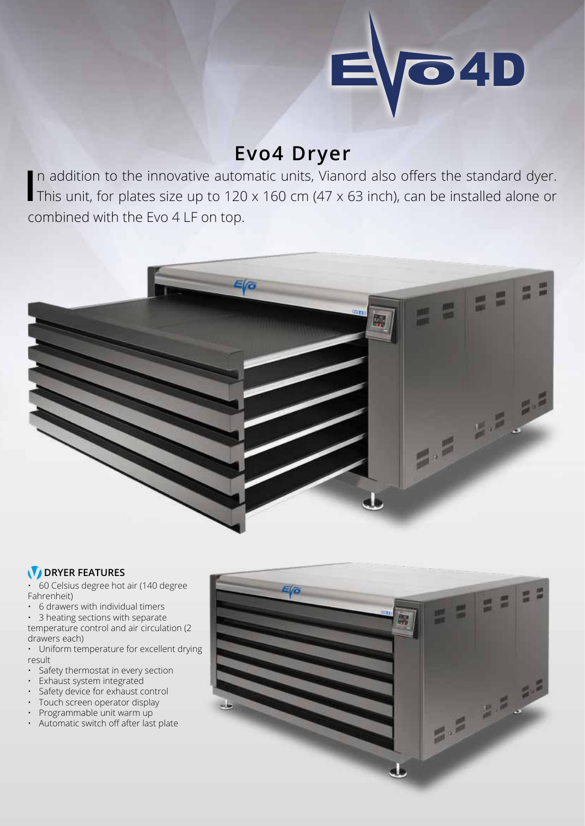

## **Evo4 Dryer**

In addition to the innovative automatic units, Vianord also offers the standard dyer.<br>This unit, for plates size up to 120 x 160 cm (47 x 63 inch), can be installed alone or n addition to the innovative automatic units, Vianord also offers the standard dyer. combined with the Evo 4 LF on top.



## **DRYER FEATURES**

• 60 Celsius degree hot air (140 degree Fahrenheit)

• 6 drawers with individual timers

• 3 heating sections with separate temperature control and air circulation (2 drawers each)

• Uniform temperature for excellent drying result

- Safety thermostat in every section
- Exhaust system integrated
- Safety device for exhaust control
- Touch screen operator display
- Programmable unit warm up
- Automatic switch off after last plate